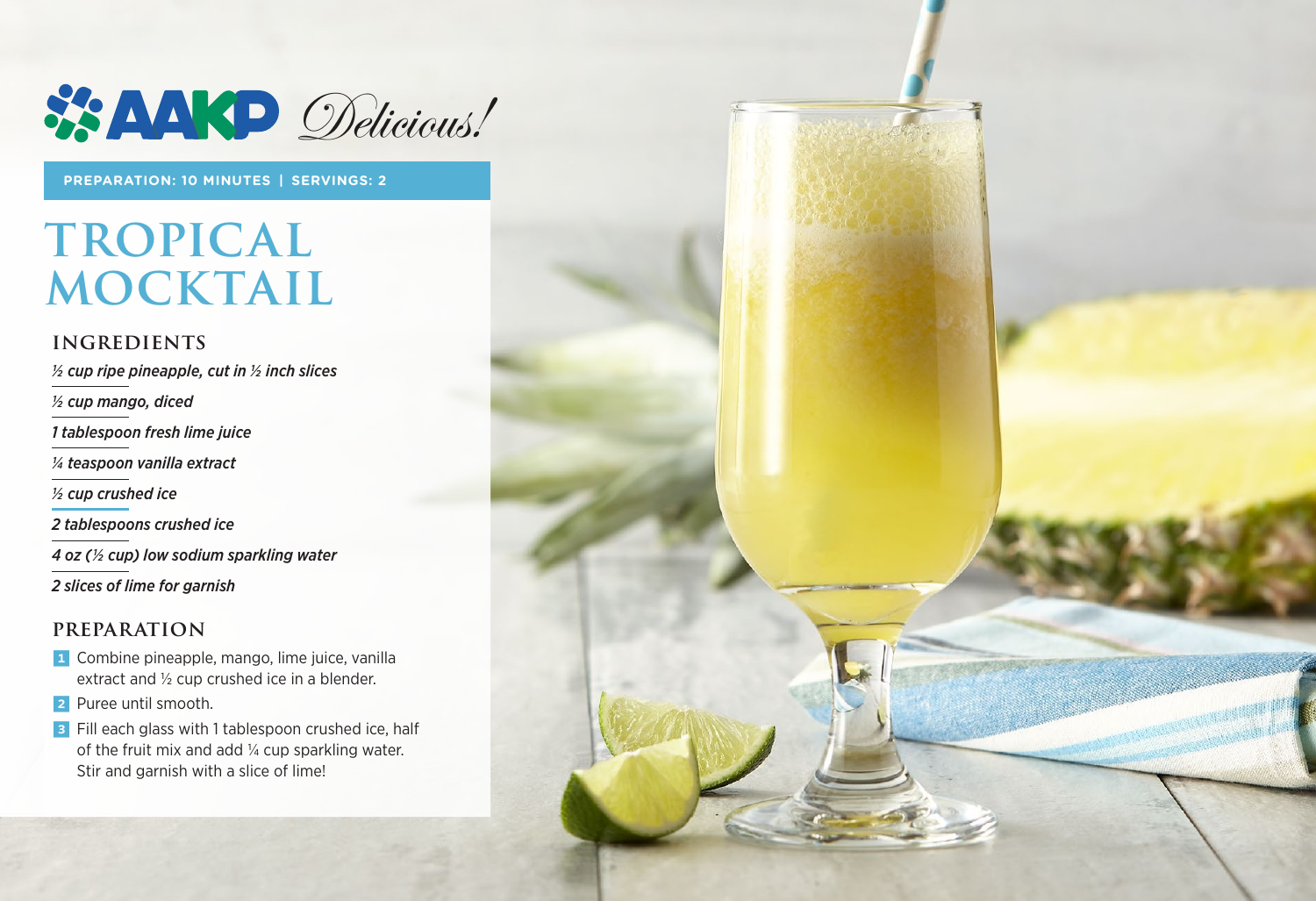

**PREPARATION: 10 MINUTES | SERVINGS: 2**

# **TROPICAL MOCKTAIL**

### **INGREDIENTS**

*½ cup ripe pineapple, cut in ½ inch slices* 

*½ cup mango, diced*

*1 tablespoon fresh lime juice*

*¼ teaspoon vanilla extract*

*1/2 cup crushed ice*

*2 tablespoons crushed ice* 

*4 oz (1/2 cup) low sodium sparkling water*

*2 slices of lime for garnish*

#### **PREPARATION**

- 1 Combine pineapple, mango, lime juice, vanilla extract and  $\frac{1}{2}$  cup crushed ice in a blender.
- 2 Puree until smooth.
- **3** Fill each glass with 1 tablespoon crushed ice, half of the fruit mix and add  $\frac{1}{4}$  cup sparkling water. Stir and garnish with a slice of lime!